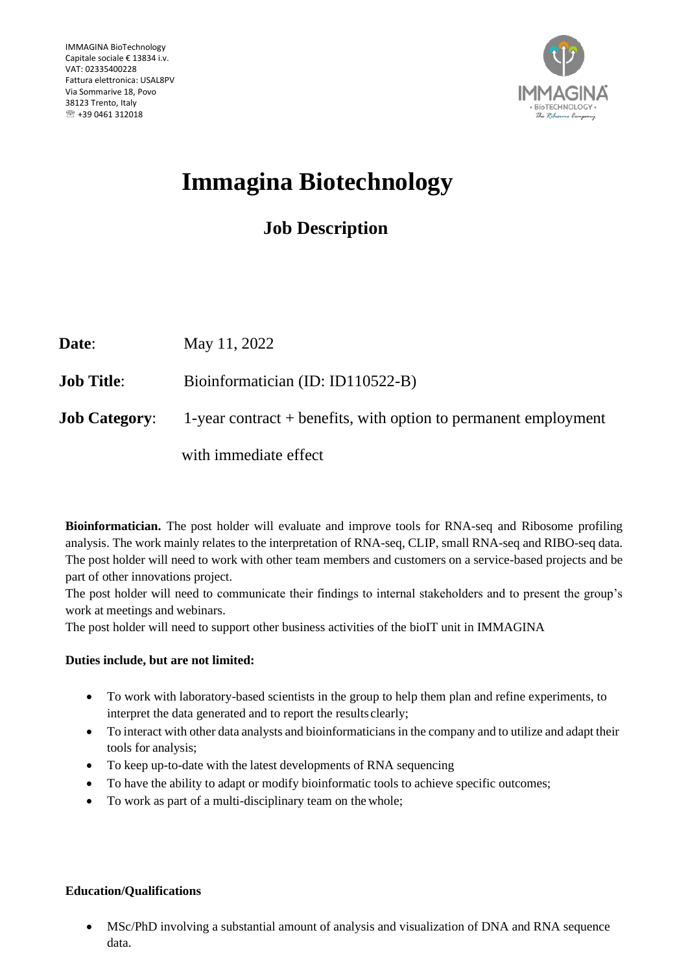

# **Immagina Biotechnology**

# **Job Description**

| <b>Date:</b>         | May 11, 2022                                                      |
|----------------------|-------------------------------------------------------------------|
| <b>Job Title:</b>    | Bioinformatician (ID: ID110522-B)                                 |
| <b>Job Category:</b> | 1-year contract $+$ benefits, with option to permanent employment |
|                      | with immediate effect                                             |

**Bioinformatician.** The post holder will evaluate and improve tools for RNA-seq and Ribosome profiling analysis. The work mainly relates to the interpretation of RNA-seq, CLIP, small RNA-seq and RIBO-seq data. The post holder will need to work with other team members and customers on a service-based projects and be part of other innovations project.

The post holder will need to communicate their findings to internal stakeholders and to present the group's work at meetings and webinars.

The post holder will need to support other business activities of the bioIT unit in IMMAGINA

# **Duties include, but are not limited:**

- To work with laboratory-based scientists in the group to help them plan and refine experiments, to interpret the data generated and to report the results clearly;
- To interact with other data analysts and bioinformaticians in the company and to utilize and adapt their tools for analysis;
- To keep up-to-date with the latest developments of RNA sequencing
- To have the ability to adapt or modify bioinformatic tools to achieve specific outcomes;
- To work as part of a multi-disciplinary team on the whole;

# **Education/Qualifications**

• MSc/PhD involving a substantial amount of analysis and visualization of DNA and RNA sequence data.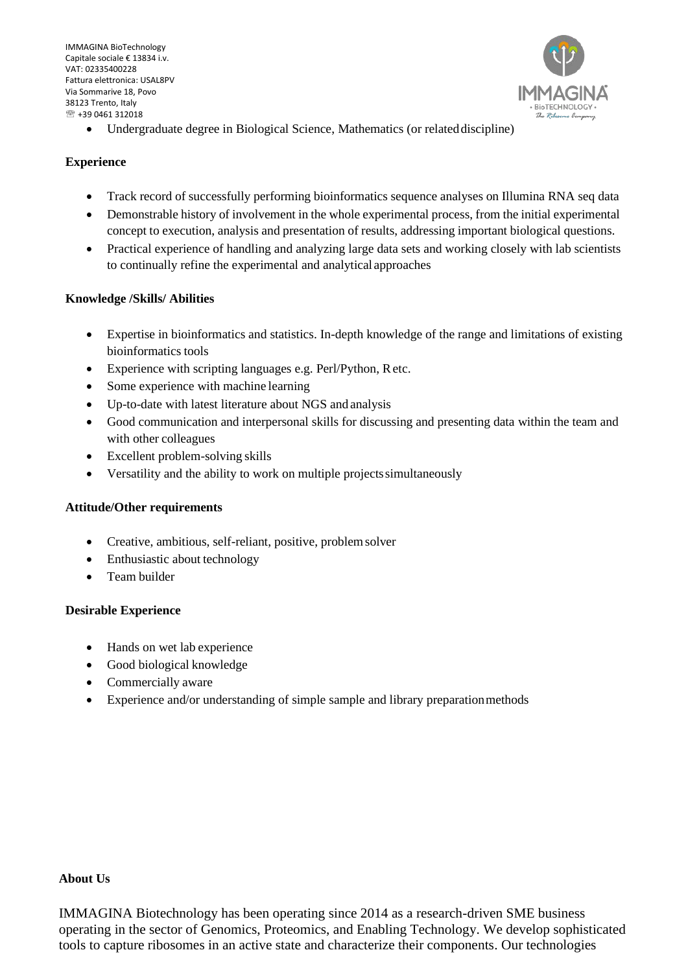IMMAGINA BioTechnology Capitale sociale € 13834 i.v. VAT: 02335400228 Fattura elettronica: USAL8PV Via Sommarive 18, Povo 38123 Trento, Italy 图 +39 0461 312018



• Undergraduate degree in Biological Science, Mathematics (or relateddiscipline)

#### **Experience**

- Track record of successfully performing bioinformatics sequence analyses on Illumina RNA seq data
- Demonstrable history of involvement in the whole experimental process, from the initial experimental concept to execution, analysis and presentation of results, addressing important biological questions.
- Practical experience of handling and analyzing large data sets and working closely with lab scientists to continually refine the experimental and analytical approaches

#### **Knowledge /Skills/ Abilities**

- Expertise in bioinformatics and statistics. In-depth knowledge of the range and limitations of existing bioinformatics tools
- Experience with scripting languages e.g. Perl/Python, Retc.
- Some experience with machine learning
- Up-to-date with latest literature about NGS and analysis
- Good communication and interpersonal skills for discussing and presenting data within the team and with other colleagues
- Excellent problem-solving skills
- Versatility and the ability to work on multiple projects simultaneously

#### **Attitude/Other requirements**

- Creative, ambitious, self-reliant, positive, problemsolver
- Enthusiastic about technology
- Team builder

#### **Desirable Experience**

- Hands on wet lab experience
- Good biological knowledge
- Commercially aware
- Experience and/or understanding of simple sample and library preparationmethods

#### **About Us**

IMMAGINA Biotechnology has been operating since 2014 as a research-driven SME business operating in the sector of Genomics, Proteomics, and Enabling Technology. We develop sophisticated tools to capture ribosomes in an active state and characterize their components. Our technologies